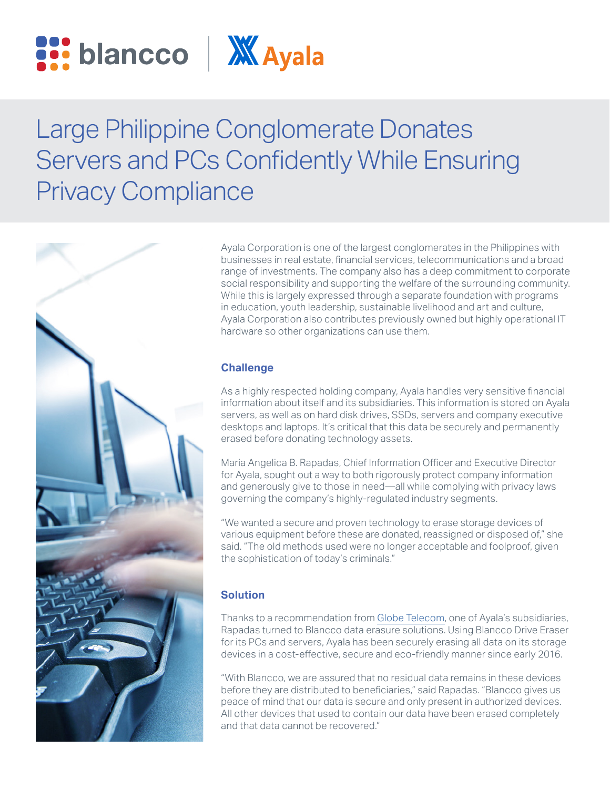



# Large Philippine Conglomerate Donates Servers and PCs Confidently While Ensuring Privacy Compliance



Ayala Corporation is one of the largest conglomerates in the Philippines with businesses in real estate, financial services, telecommunications and a broad range of investments. The company also has a deep commitment to corporate social responsibility and supporting the welfare of the surrounding community. While this is largely expressed through a separate foundation with programs in education, youth leadership, sustainable livelihood and art and culture, Ayala Corporation also contributes previously owned but highly operational IT hardware so other organizations can use them.

## **Challenge**

As a highly respected holding company, Ayala handles very sensitive financial information about itself and its subsidiaries. This information is stored on Ayala servers, as well as on hard disk drives, SSDs, servers and company executive desktops and laptops. It's critical that this data be securely and permanently erased before donating technology assets.

Maria Angelica B. Rapadas, Chief Information Officer and Executive Director for Ayala, sought out a way to both rigorously protect company information and generously give to those in need—all while complying with privacy laws governing the company's highly-regulated industry segments.

"We wanted a secure and proven technology to erase storage devices of various equipment before these are donated, reassigned or disposed of," she said. "The old methods used were no longer acceptable and foolproof, given the sophistication of today's criminals."

## **Solution**

Thanks to a recommendation from [Globe Telecom](https://www.blancco.com/resources/cs-globe-telecom-data-erasure-case-study/), one of Ayala's subsidiaries, Rapadas turned to Blancco data erasure solutions. Using Blancco Drive Eraser for its PCs and servers, Ayala has been securely erasing all data on its storage devices in a cost-effective, secure and eco-friendly manner since early 2016.

"With Blancco, we are assured that no residual data remains in these devices before they are distributed to beneficiaries," said Rapadas. "Blancco gives us peace of mind that our data is secure and only present in authorized devices. All other devices that used to contain our data have been erased completely and that data cannot be recovered."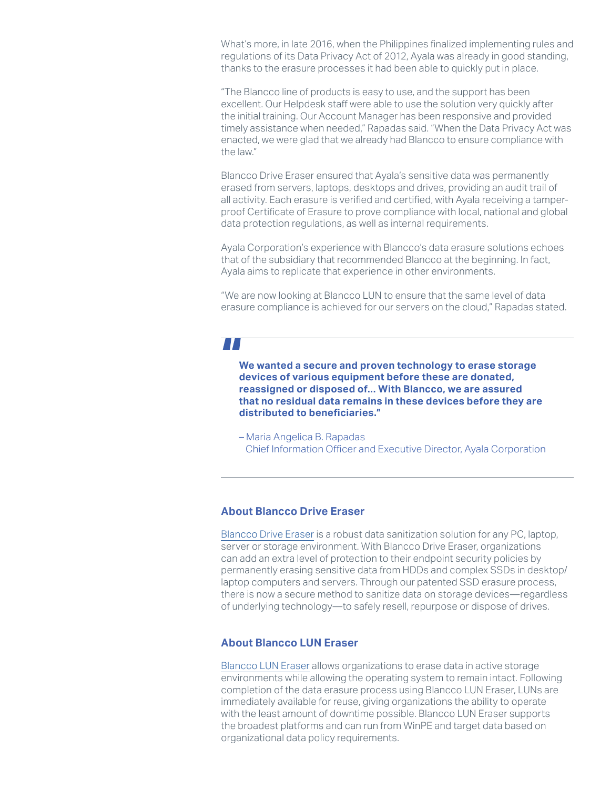What's more, in late 2016, when the Philippines finalized implementing rules and regulations of its Data Privacy Act of 2012, Ayala was already in good standing, thanks to the erasure processes it had been able to quickly put in place.

"The Blancco line of products is easy to use, and the support has been excellent. Our Helpdesk staff were able to use the solution very quickly after the initial training. Our Account Manager has been responsive and provided timely assistance when needed," Rapadas said. "When the Data Privacy Act was enacted, we were glad that we already had Blancco to ensure compliance with the law."

Blancco Drive Eraser ensured that Ayala's sensitive data was permanently erased from servers, laptops, desktops and drives, providing an audit trail of all activity. Each erasure is verified and certified, with Ayala receiving a tamperproof Certificate of Erasure to prove compliance with local, national and global data protection regulations, as well as internal requirements.

Ayala Corporation's experience with Blancco's data erasure solutions echoes that of the subsidiary that recommended Blancco at the beginning. In fact, Ayala aims to replicate that experience in other environments.

"We are now looking at Blancco LUN to ensure that the same level of data erasure compliance is achieved for our servers on the cloud," Rapadas stated.

# 7 T T

**We wanted a secure and proven technology to erase storage devices of various equipment before these are donated, reassigned or disposed of... With Blancco, we are assured that no residual data remains in these devices before they are distributed to beneficiaries."**

– Maria Angelica B. Rapadas Chief Information Officer and Executive Director, Ayala Corporation

#### **About Blancco Drive Eraser**

[Blancco Drive Eraser](https://www.blancco.com/products/drive-eraser/) is a robust data sanitization solution for any PC, laptop, server or storage environment. With Blancco Drive Eraser, organizations can add an extra level of protection to their endpoint security policies by permanently erasing sensitive data from HDDs and complex SSDs in desktop/ laptop computers and servers. Through our patented SSD erasure process, there is now a secure method to sanitize data on storage devices—regardless of underlying technology—to safely resell, repurpose or dispose of drives.

#### **About Blancco LUN Eraser**

[Blancco LUN Eraser](https://www.blancco.com/products/lun-eraser/) allows organizations to erase data in active storage environments while allowing the operating system to remain intact. Following completion of the data erasure process using Blancco LUN Eraser, LUNs are immediately available for reuse, giving organizations the ability to operate with the least amount of downtime possible. Blancco LUN Eraser supports the broadest platforms and can run from WinPE and target data based on organizational data policy requirements.